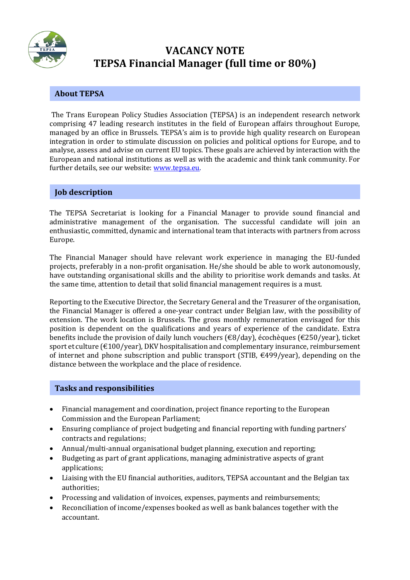

# **VACANCY NOTE TEPSA Financial Manager (full time or 80%)**

# **About TEPSA**

The Trans European Policy Studies Association (TEPSA) is an independent research network comprising 47 leading research institutes in the field of European affairs throughout Europe, managed by an office in Brussels. TEPSA's aim is to provide high quality research on European integration in order to stimulate discussion on policies and political options for Europe, and to analyse, assess and advise on current EU topics. These goals are achieved by interaction with the European and national institutions as well as with the academic and think tank community. For further details, see our website: [www.tepsa.eu.](http://www.tepsa.eu/)

### **Job description**

The TEPSA Secretariat is looking for a Financial Manager to provide sound financial and administrative management of the organisation. The successful candidate will join an enthusiastic, committed, dynamic and international team that interacts with partners from across Europe.

The Financial Manager should have relevant work experience in managing the EU-funded projects, preferably in a non-profit organisation. He/she should be able to work autonomously, have outstanding organisational skills and the ability to prioritise work demands and tasks. At the same time, attention to detail that solid financial management requires is a must.

Reporting to the Executive Director, the Secretary General and the Treasurer of the organisation, the Financial Manager is offered a one-year contract under Belgian law, with the possibility of extension. The work location is Brussels. The gross monthly remuneration envisaged for this position is dependent on the qualifications and years of experience of the candidate. Extra benefits include the provision of daily lunch vouchers (€8/day), écochèques (€250/year), ticket sport et culture (€100/year), DKV hospitalisation and complementary insurance, reimbursement of internet and phone subscription and public transport (STIB,  $\epsilon$ 499/year), depending on the distance between the workplace and the place of residence.

## **Tasks and responsibilities**

- Financial management and coordination, project finance reporting to the European Commission and the European Parliament;
- Ensuring compliance of project budgeting and financial reporting with funding partners' contracts and regulations;
- Annual/multi-annual organisational budget planning, execution and reporting;
- Budgeting as part of grant applications, managing administrative aspects of grant applications;
- Liaising with the EU financial authorities, auditors, TEPSA accountant and the Belgian tax authorities;
- Processing and validation of invoices, expenses, payments and reimbursements;
- Reconciliation of income/expenses booked as well as bank balances together with the accountant.